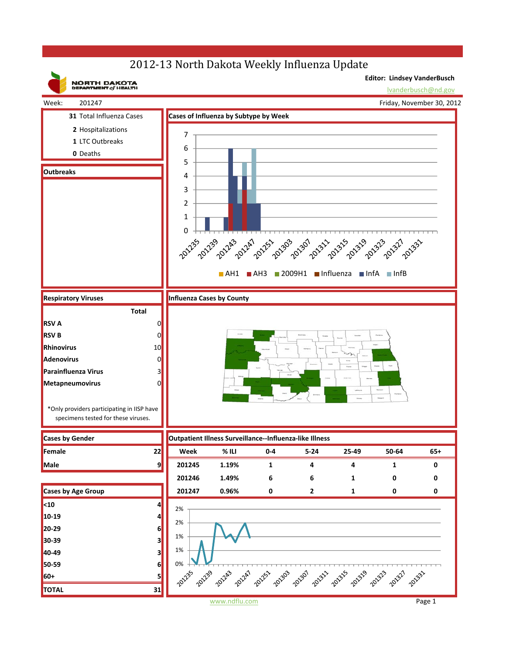## 2012-13 North Dakota Weekly Influenza Update